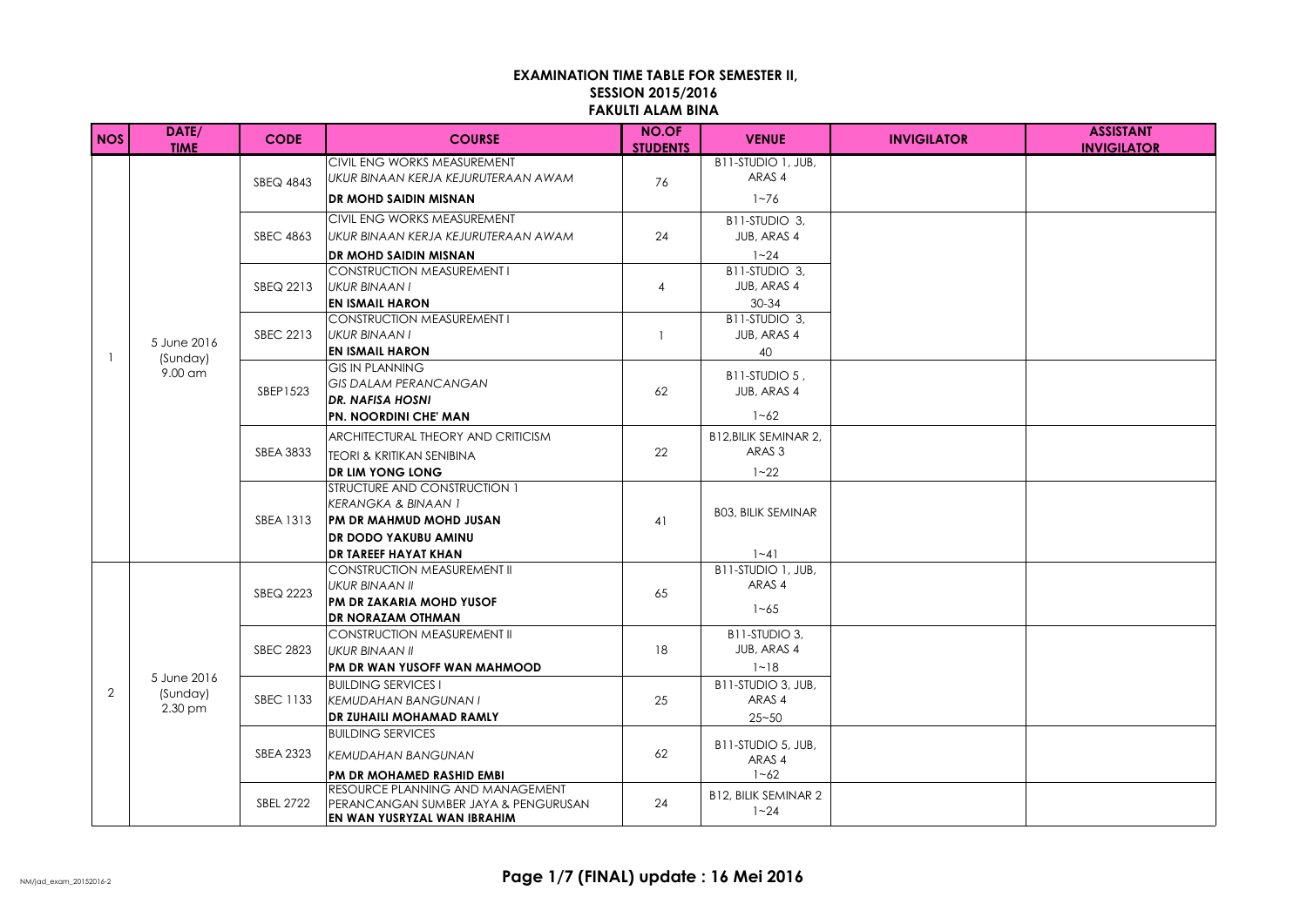## **EXAMINATION TIME TABLE FOR SEMESTER II, SESSION 2015/2016 FAKULTI ALAM BINA**

| NOS | DATE/<br><b>TIME</b>               | <b>CODE</b>      | <b>COURSE</b>                                                                                                                                                   | <b>NO.OF</b><br><b>STUDENTS</b> | <b>VENUE</b>                                                 | <b>INVIGILATOR</b> | <b>ASSISTANT</b><br><b>INVIGILATOR</b> |
|-----|------------------------------------|------------------|-----------------------------------------------------------------------------------------------------------------------------------------------------------------|---------------------------------|--------------------------------------------------------------|--------------------|----------------------------------------|
|     | 5 June 2016<br>(Sunday)<br>9.00 am | SBEQ 4843        | CIVIL ENG WORKS MEASUREMENT<br>UKUR BINAAN KERJA KEJURUTERAAN AWAM<br><b>DR MOHD SAIDIN MISNAN</b>                                                              | 76                              | B11-STUDIO 1, JUB,<br>ARAS 4<br>$1 - 76$                     |                    |                                        |
|     |                                    | <b>SBEC 4863</b> | CIVIL ENG WORKS MEASUREMENT<br>IUKUR BINAAN KERJA KEJURUTERAAN AWAM<br>DR MOHD SAIDIN MISNAN                                                                    | 24                              | B11-STUDIO 3,<br>JUB, ARAS 4<br>$1 - 24$                     |                    |                                        |
|     |                                    | SBEQ 2213        | <b>CONSTRUCTION MEASUREMENT I</b><br>UKUR BINAAN I<br><b>EN ISMAIL HARON</b>                                                                                    | $\overline{4}$                  | B11-STUDIO 3,<br>JUB, ARAS 4<br>$30 - 34$                    |                    |                                        |
|     |                                    | <b>SBEC 2213</b> | <b>CONSTRUCTION MEASUREMENT I</b><br>UKUR BINAAN I<br><b>EN ISMAIL HARON</b>                                                                                    | $\overline{1}$                  | B11-STUDIO 3,<br>JUB, ARAS 4<br>40                           |                    |                                        |
|     |                                    | SBEP1523         | <b>GIS IN PLANNING</b><br><b>GIS DALAM PERANCANGAN</b><br><b>DR. NAFISA HOSNI</b><br><b>PN. NOORDINI CHE' MAN</b>                                               | 62                              | B11-STUDIO 5,<br>JUB, ARAS 4<br>$1 - 62$                     |                    |                                        |
|     |                                    | <b>SBEA 3833</b> | ARCHITECTURAL THEORY AND CRITICISM<br><b>TEORI &amp; KRITIKAN SENIBINA</b><br><b>DR LIM YONG LONG</b>                                                           | 22                              | <b>B12.BILIK SEMINAR 2.</b><br>ARAS <sub>3</sub><br>$1 - 22$ |                    |                                        |
|     |                                    | SBEA 1313        | STRUCTURE AND CONSTRUCTION 1<br><b>KERANGKA &amp; BINAAN 1</b><br><b>IPM DR MAHMUD MOHD JUSAN</b><br><b>DR DODO YAKUBU AMINU</b><br><b>DR TAREEF HAYAT KHAN</b> | 41                              | <b>BO3, BILIK SEMINAR</b><br>$1 - 41$                        |                    |                                        |
| 2   |                                    | SBEQ 2223        | <b>CONSTRUCTION MEASUREMENT II</b><br><b>UKUR BINAAN II</b><br>PM DR ZAKARIA MOHD YUSOF<br>DR NORAZAM OTHMAN                                                    | 65                              | B11-STUDIO 1, JUB.<br>ARAS 4<br>$1 - 65$                     |                    |                                        |
|     |                                    | <b>SBEC 2823</b> | <b>CONSTRUCTION MEASUREMENT II</b><br>UKUR BINAAN II<br>PM DR WAN YUSOFF WAN MAHMOOD                                                                            | 18                              | B11-STUDIO 3,<br>JUB, ARAS 4<br>$1 - 18$                     |                    |                                        |
|     | 5 June 2016<br>(Sunday)<br>2.30 pm | <b>SBEC 1133</b> | <b>BUILDING SERVICES I</b><br><b>KEMUDAHAN BANGUNAN I</b><br><b>DR ZUHAILI MOHAMAD RAMLY</b>                                                                    | 25                              | B11-STUDIO 3, JUB,<br>ARAS 4<br>$25 - 50$                    |                    |                                        |
|     |                                    | SBEA 2323        | <b>BUILDING SERVICES</b><br><b>KEMUDAHAN BANGUNAN</b><br>PM DR MOHAMED RASHID EMBI                                                                              | 62                              | B11-STUDIO 5, JUB,<br>ARAS 4<br>$1 - 62$                     |                    |                                        |
|     |                                    | <b>SBEL 2722</b> | RESOURCE PLANNING AND MANAGEMENT<br>IPERANCANGAN SUMBER JAYA & PENGURUSAN<br>EN WAN YUSRYZAL WAN IBRAHIM                                                        | 24                              | <b>B12, BILIK SEMINAR 2</b><br>$1 - 24$                      |                    |                                        |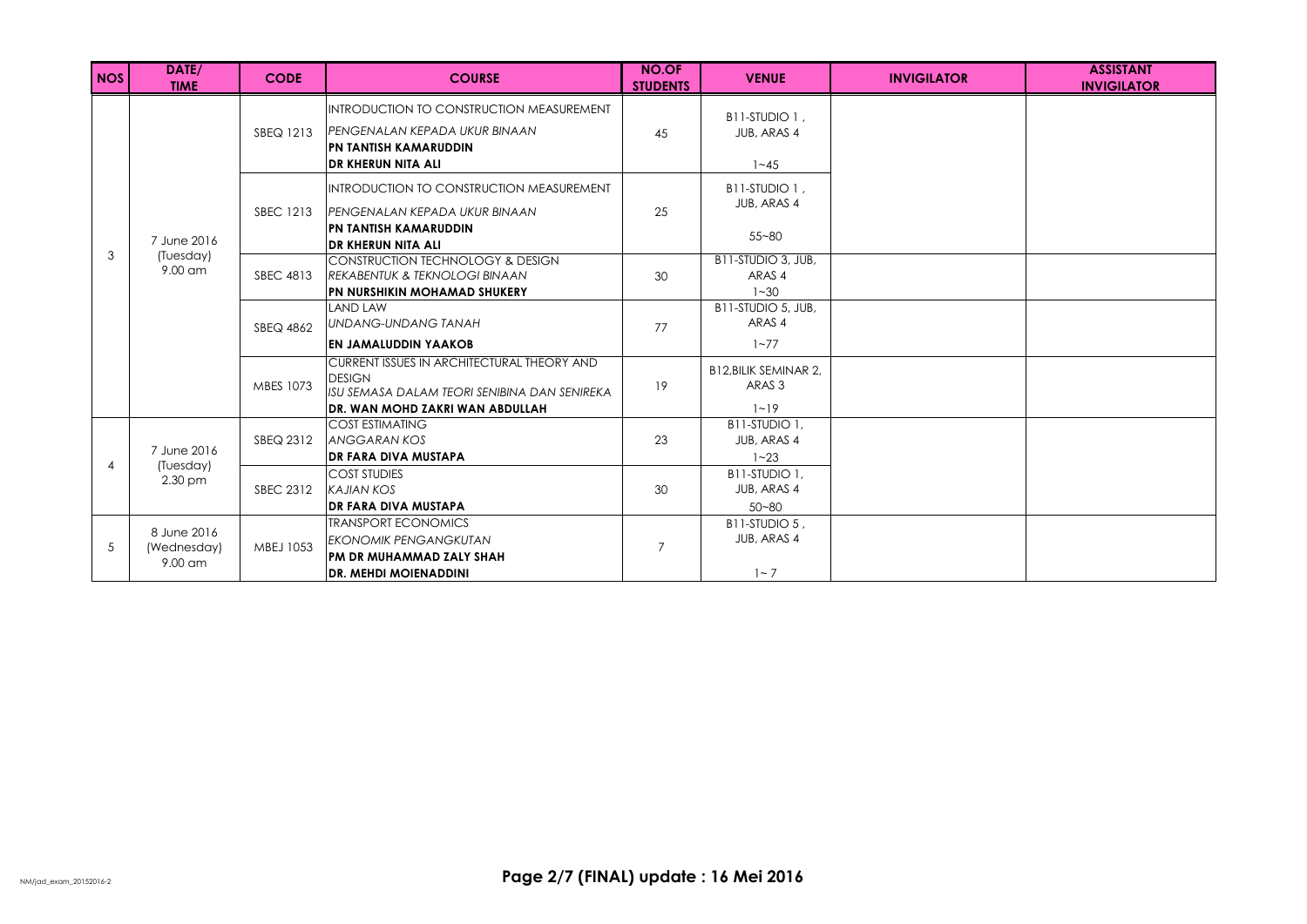| <b>NOS</b> | DATE/<br><b>TIME</b>                                                                                                  | <b>CODE</b>      | <b>COURSE</b>                                                                                                                                    | <b>NO.OF</b><br><b>STUDENTS</b> | <b>VENUE</b>                                                 | <b>INVIGILATOR</b> | <b>ASSISTANT</b><br><b>INVIGILATOR</b> |
|------------|-----------------------------------------------------------------------------------------------------------------------|------------------|--------------------------------------------------------------------------------------------------------------------------------------------------|---------------------------------|--------------------------------------------------------------|--------------------|----------------------------------------|
|            |                                                                                                                       | SBEQ 1213        | <b>INTRODUCTION TO CONSTRUCTION MEASUREMENT</b><br>IPENGENALAN KEPADA UKUR BINAAN<br>PN TANTISH KAMARUDDIN                                       | 45                              | B11-STUDIO 1.<br>JUB, ARAS 4                                 |                    |                                        |
|            | 7 June 2016                                                                                                           | <b>SBEC 1213</b> | IDR KHERUN NITA ALI<br>IINTRODUCTION TO CONSTRUCTION MEASUREMENT<br><b>IPENGENALAN KEPADA UKUR BINAAN</b><br>PN TANTISH KAMARUDDIN               | 25                              | $1 - 45$<br>B11-STUDIO 1.<br>JUB, ARAS 4<br>$55 - 80$        |                    |                                        |
| 3          | (Tuesday)<br>$9.00$ am                                                                                                | <b>SBEC 4813</b> | <b>DR KHERUN NITA ALI</b><br>CONSTRUCTION TECHNOLOGY & DESIGN<br><b>REKABENTUK &amp; TEKNOLOGI BINAAN</b><br><b>PN NURSHIKIN MOHAMAD SHUKERY</b> | 30                              | B11-STUDIO 3, JUB,<br>ARAS 4<br>$1 - 30$                     |                    |                                        |
|            |                                                                                                                       | SBEQ 4862        | <b>LAND LAW</b><br>UNDANG-UNDANG TANAH<br><b>EN JAMALUDDIN YAAKOB</b>                                                                            | 77                              | B11-STUDIO 5, JUB.<br>ARAS 4<br>$1 - 77$                     |                    |                                        |
|            |                                                                                                                       | MBES 1073        | CURRENT ISSUES IN ARCHITECTURAL THEORY AND<br><b>DESIGN</b><br>ISU SEMASA DALAM TEORI SENIBINA DAN SENIREKA<br>DR. WAN MOHD ZAKRI WAN ABDULLAH   | 19                              | <b>B12.BILIK SEMINAR 2.</b><br>ARAS <sub>3</sub><br>$1 - 19$ |                    |                                        |
| 4          | <b>COST ESTIMATING</b><br><b>ANGGARAN KOS</b><br>SBEQ 2312<br>7 June 2016<br><b>DR FARA DIVA MUSTAPA</b><br>(Tuesday) | 23               | B11-STUDIO 1.<br>JUB, ARAS 4<br>$1 - 23$                                                                                                         |                                 |                                                              |                    |                                        |
|            | 2.30 pm                                                                                                               | SBEC 2312        | <b>COST STUDIES</b><br><b>KAJIAN KOS</b><br><b>DR FARA DIVA MUSTAPA</b>                                                                          | 30                              | B11-STUDIO 1,<br>JUB, ARAS 4<br>$50 - 80$                    |                    |                                        |
| -5         | 8 June 2016<br>(Wednesday)<br>9.00 am                                                                                 | MBEJ 1053        | <b>TRANSPORT ECONOMICS</b><br><b>EKONOMIK PENGANGKUTAN</b><br>PM DR MUHAMMAD ZALY SHAH<br><b>DR. MEHDI MOIENADDINI</b>                           | $\overline{7}$                  | B11-STUDIO 5.<br>JUB, ARAS 4<br>$1 - 7$                      |                    |                                        |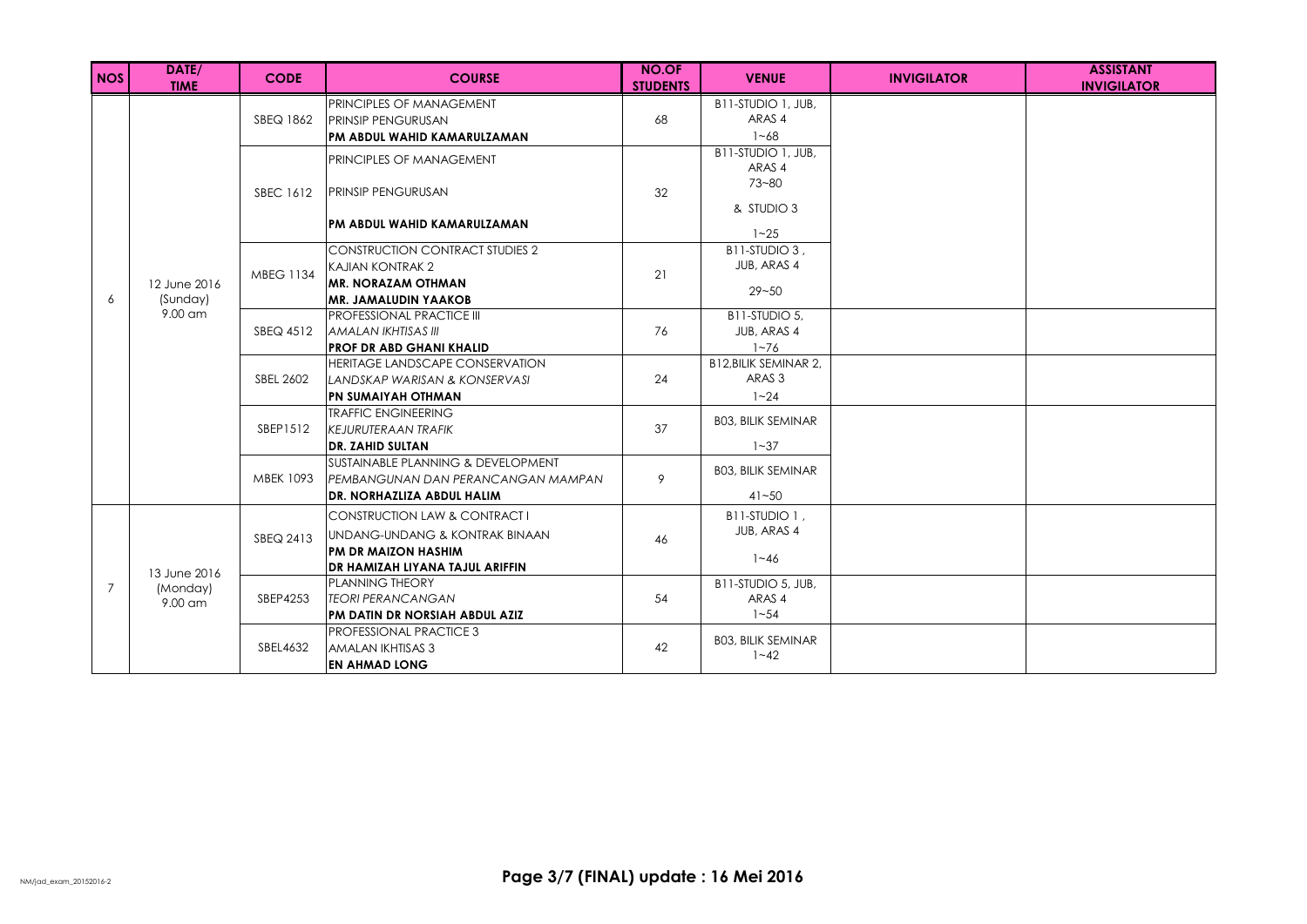| NOS | DATE/<br><b>TIME</b>                | <b>CODE</b>                                                                                                                                                                                               | <b>COURSE</b>                                                                                                                    | <b>NO.OF</b><br><b>STUDENTS</b> | <b>VENUE</b>                                            | <b>INVIGILATOR</b> | <b>ASSISTANT</b><br><b>INVIGILATOR</b> |
|-----|-------------------------------------|-----------------------------------------------------------------------------------------------------------------------------------------------------------------------------------------------------------|----------------------------------------------------------------------------------------------------------------------------------|---------------------------------|---------------------------------------------------------|--------------------|----------------------------------------|
| 6   |                                     | SBEQ 1862                                                                                                                                                                                                 | PRINCIPLES OF MANAGEMENT<br><b>PRINSIP PENGURUSAN</b><br>PM ABDUL WAHID KAMARULZAMAN                                             | 68                              | B11-STUDIO 1, JUB,<br>ARAS 4<br>$1 - 68$                |                    |                                        |
|     |                                     | <b>SBEC 1612</b>                                                                                                                                                                                          | PRINCIPLES OF MANAGEMENT<br><b>PRINSIP PENGURUSAN</b><br>PM ABDUL WAHID KAMARULZAMAN                                             | 32                              | B11-STUDIO 1, JUB.<br>ARAS 4<br>$73 - 80$<br>& STUDIO 3 |                    |                                        |
|     | 12 June 2016<br>(Sunday)            | $1 - 25$<br>B11-STUDIO 3.<br><b>CONSTRUCTION CONTRACT STUDIES 2</b><br>JUB, ARAS 4<br>KAJIAN KONTRAK 2<br><b>MBEG 1134</b><br>21<br><b>MR. NORAZAM OTHMAN</b><br>$29 - 50$<br><b>MR. JAMALUDIN YAAKOB</b> |                                                                                                                                  |                                 |                                                         |                    |                                        |
|     | $9.00$ am                           | SBEQ 4512                                                                                                                                                                                                 | <b>PROFESSIONAL PRACTICE III</b><br>AMALAN IKHTISAS III<br><b>PROF DR ABD GHANI KHALID</b>                                       | 76                              | B11-STUDIO 5,<br>JUB, ARAS 4<br>$1 - 76$                |                    |                                        |
|     |                                     | SBEL 2602                                                                                                                                                                                                 | HERITAGE LANDSCAPE CONSERVATION<br>LANDSKAP WARISAN & KONSERVASI<br><b>PN SUMAIYAH OTHMAN</b>                                    | 24                              | B12, BILIK SEMINAR 2,<br>ARAS <sub>3</sub><br>$1 - 24$  |                    |                                        |
|     |                                     | SBEP1512                                                                                                                                                                                                  | <b>TRAFFIC ENGINEERING</b><br><b>KEJURUTERAAN TRAFIK</b><br><b>DR. ZAHID SULTAN</b>                                              | 37                              | <b>BO3, BILIK SEMINAR</b><br>$1 - 37$                   |                    |                                        |
|     |                                     | <b>MBEK 1093</b>                                                                                                                                                                                          | SUSTAINABLE PLANNING & DEVELOPMENT<br>PEMBANGUNAN DAN PERANCANGAN MAMPAN<br>DR. NORHAZLIZA ABDUL HALIM                           | 9                               | <b>BO3, BILIK SEMINAR</b><br>$41 - 50$                  |                    |                                        |
|     |                                     | SBEQ 2413                                                                                                                                                                                                 | CONSTRUCTION LAW & CONTRACT I<br>UNDANG-UNDANG & KONTRAK BINAAN<br><b>PM DR MAIZON HASHIM</b><br>DR HAMIZAH LIYANA TAJUL ARIFFIN | 46                              | B11-STUDIO 1,<br>JUB, ARAS 4<br>$1 - 46$                |                    |                                        |
| 7   | 13 June 2016<br>(Monday)<br>9.00 am | SBEP4253                                                                                                                                                                                                  | PLANNING THEORY<br><b>ITEORI PERANCANGAN</b><br>PM DATIN DR NORSIAH ABDUL AZIZ                                                   | 54                              | B11-STUDIO 5, JUB.<br>ARAS 4<br>$1 - 54$                |                    |                                        |
|     |                                     | SBEL4632                                                                                                                                                                                                  | <b>PROFESSIONAL PRACTICE 3</b><br>AMALAN IKHTISAS 3<br><b>EN AHMAD LONG</b>                                                      | 42                              | <b>BO3, BILIK SEMINAR</b><br>$1 - 42$                   |                    |                                        |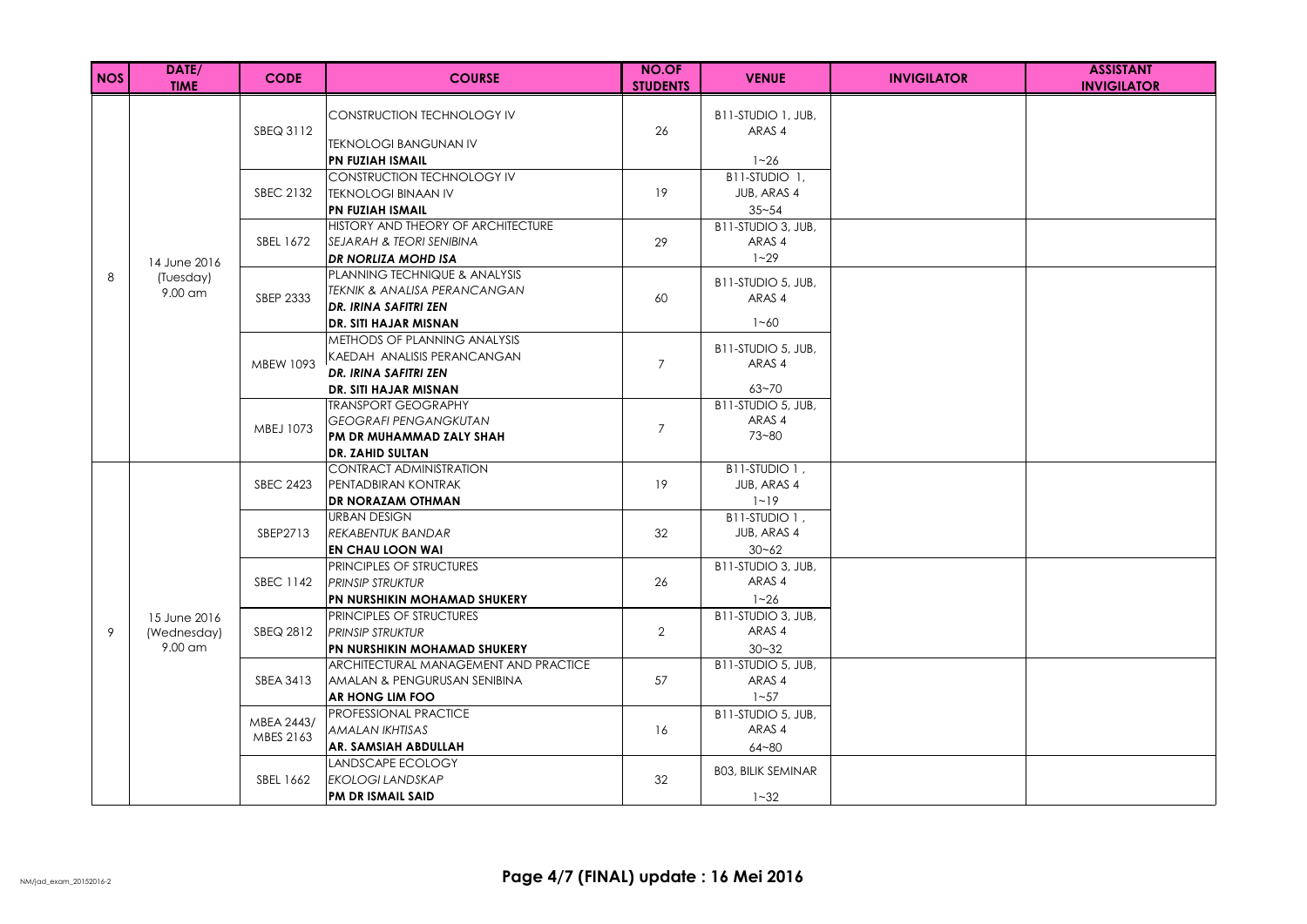| <b>NOS</b> | DATE/<br><b>TIME</b>                     | <b>CODE</b>             | <b>COURSE</b>                                                                                                                       | <b>NO.OF</b><br><b>STUDENTS</b> | <b>VENUE</b>                                           | <b>INVIGILATOR</b> | <b>ASSISTANT</b><br><b>INVIGILATOR</b> |
|------------|------------------------------------------|-------------------------|-------------------------------------------------------------------------------------------------------------------------------------|---------------------------------|--------------------------------------------------------|--------------------|----------------------------------------|
|            |                                          | SBEQ 3112               | <b>CONSTRUCTION TECHNOLOGY IV</b><br><b>TEKNOLOGI BANGUNAN IV</b><br><b>PN FUZIAH ISMAIL</b>                                        | 26                              | B11-STUDIO 1, JUB.<br>ARAS 4<br>$1 - 26$               |                    |                                        |
|            |                                          | SBEC 2132               | <b>CONSTRUCTION TECHNOLOGY IV</b><br><b>TEKNOLOGI BINAAN IV</b><br>PN FUZIAH ISMAIL                                                 | 19                              | B11-STUDIO 1.<br>JUB, ARAS 4<br>$35 - 54$              |                    |                                        |
|            | 14 June 2016                             | SBEL 1672               | HISTORY AND THEORY OF ARCHITECTURE<br>ISEJARAH & TEORI SENIBINA<br>DR NORLIZA MOHD ISA                                              | 29                              | B11-STUDIO 3, JUB,<br>ARAS 4<br>$1 - 29$               |                    |                                        |
| 8          | (Tuesday)<br>9.00 am                     | SBEP 2333               | PLANNING TECHNIQUE & ANALYSIS<br><b>TEKNIK &amp; ANALISA PERANCANGAN</b><br>DR. IRINA SAFITRI ZEN                                   | 60                              | B11-STUDIO 5, JUB,<br>ARAS 4                           |                    |                                        |
|            |                                          | MBEW 1093               | DR. SITI HAJAR MISNAN<br>METHODS OF PLANNING ANALYSIS<br>KAEDAH ANALISIS PERANCANGAN<br>DR. IRINA SAFITRI ZEN                       | $\overline{7}$                  | $1 - 60$<br>B11-STUDIO 5, JUB,<br>ARAS 4               |                    |                                        |
|            |                                          | MBEJ 1073               | DR. SITI HAJAR MISNAN<br><b>TRANSPORT GEOGRAPHY</b><br><b>GEOGRAFI PENGANGKUTAN</b><br>PM DR MUHAMMAD ZALY SHAH<br>DR. ZAHID SULTAN | $\overline{7}$                  | $63 - 70$<br>B11-STUDIO 5, JUB,<br>ARAS 4<br>$73 - 80$ |                    |                                        |
|            |                                          | <b>SBEC 2423</b>        | CONTRACT ADMINISTRATION<br>PENTADBIRAN KONTRAK<br>DR NORAZAM OTHMAN                                                                 | 19                              | B11-STUDIO 1,<br>JUB, ARAS 4<br>$1 - 19$               |                    |                                        |
|            |                                          | SBEP2713                | <b>URBAN DESIGN</b><br>REKABENTUK BANDAR<br><b>EN CHAU LOON WAI</b>                                                                 | 32                              | B11-STUDIO 1,<br>JUB, ARAS 4<br>$30 - 62$              |                    |                                        |
|            |                                          | <b>SBEC 1142</b>        | PRINCIPLES OF STRUCTURES<br>PRINSIP STRUKTUR<br>PN NURSHIKIN MOHAMAD SHUKERY                                                        | 26                              | B11-STUDIO 3, JUB,<br>ARAS 4<br>$1 - 26$               |                    |                                        |
| 9          | 15 June 2016<br>(Wednesday)<br>$9.00$ am | SBEQ 2812               | PRINCIPLES OF STRUCTURES<br><b>PRINSIP STRUKTUR</b><br>PN NURSHIKIN MOHAMAD SHUKERY                                                 | $\overline{2}$                  | B11-STUDIO 3, JUB,<br>ARAS 4<br>$30 - 32$              |                    |                                        |
|            |                                          | SBEA 3413               | ARCHITECTURAL MANAGEMENT AND PRACTICE<br>AMALAN & PENGURUSAN SENIBINA<br>AR HONG LIM FOO                                            | 57                              | B11-STUDIO 5, JUB.<br>ARAS 4<br>$1 - 57$               |                    |                                        |
|            |                                          | MBEA 2443/<br>MBES 2163 | PROFESSIONAL PRACTICE<br>AMALAN IKHTISAS<br>AR. SAMSIAH ABDULLAH                                                                    | 16                              | B11-STUDIO 5, JUB,<br>ARAS 4<br>$64 - 80$              |                    |                                        |
|            |                                          | SBEL 1662               | <b>LANDSCAPE ECOLOGY</b><br>EKOLOGI LANDSKAP<br>PM DR ISMAIL SAID                                                                   | 32                              | <b>BO3, BILIK SEMINAR</b><br>$1 - 32$                  |                    |                                        |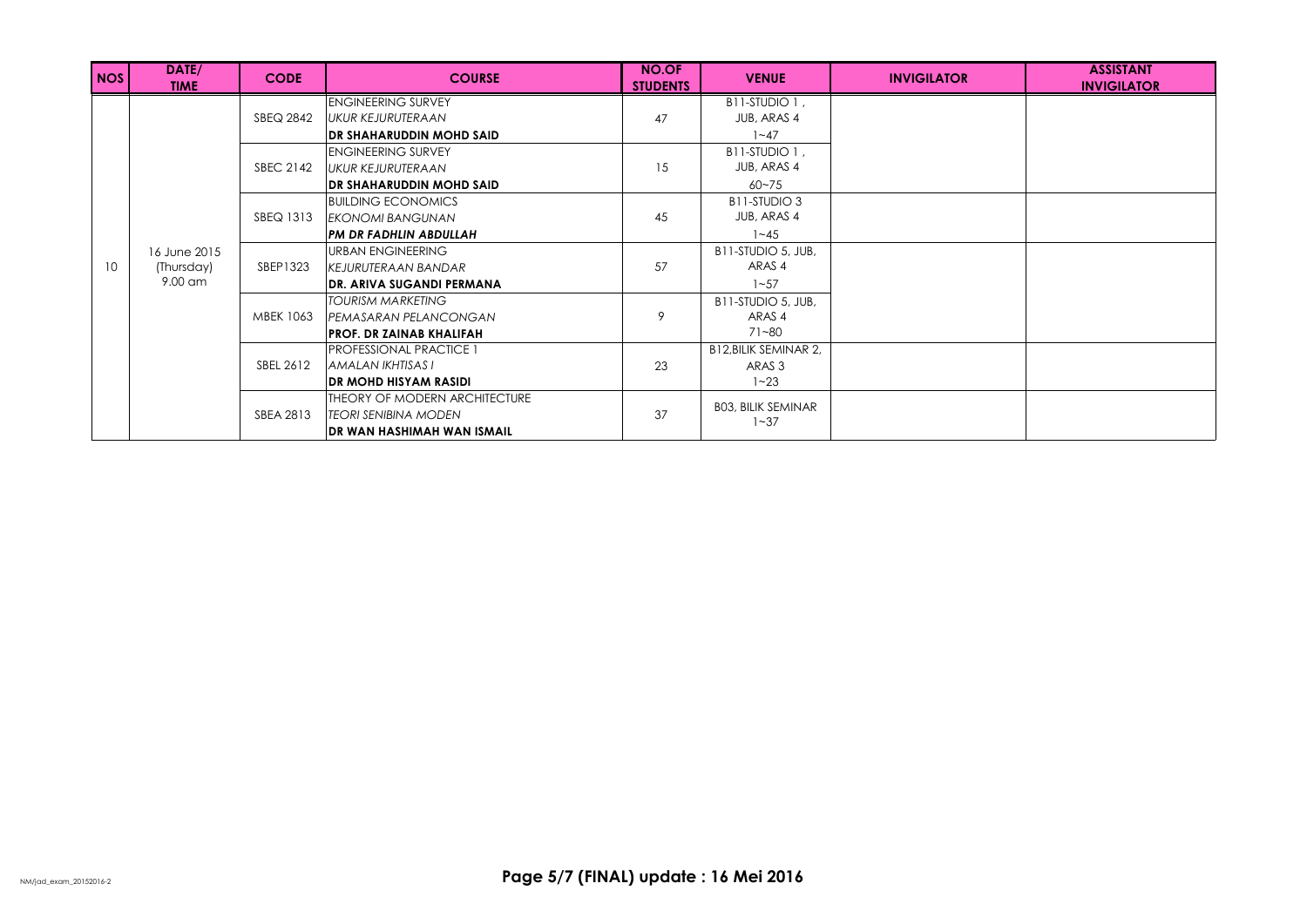| <b>NOS</b>      | DATE/<br><b>TIME</b> | <b>CODE</b>      | <b>COURSE</b>                    | <b>NO.OF</b><br><b>STUDENTS</b> | <b>VENUE</b>              | <b>INVIGILATOR</b> | <b>ASSISTANT</b><br><b>INVIGILATOR</b> |
|-----------------|----------------------|------------------|----------------------------------|---------------------------------|---------------------------|--------------------|----------------------------------------|
|                 |                      |                  | <b>ENGINEERING SURVEY</b>        |                                 | B11-STUDIO 1,             |                    |                                        |
|                 |                      | SBEQ 2842        | UKUR KEJURUTERAAN                | 47                              | JUB, ARAS 4               |                    |                                        |
|                 |                      |                  | <b>DR SHAHARUDDIN MOHD SAID</b>  |                                 | $1 - 47$                  |                    |                                        |
|                 |                      |                  | <b>ENGINEERING SURVEY</b>        |                                 | B11-STUDIO 1.             |                    |                                        |
|                 |                      | SBEC 2142        | UKUR KEJURUTERAAN                | 15                              | JUB, ARAS 4               |                    |                                        |
|                 |                      |                  | DR SHAHARUDDIN MOHD SAID         |                                 | $60 - 75$                 |                    |                                        |
|                 |                      |                  | <b>BUILDING ECONOMICS</b>        |                                 | B11-STUDIO 3              |                    |                                        |
|                 |                      | SBEQ 1313        | EKONOMI BANGUNAN                 | 45                              | JUB, ARAS 4               |                    |                                        |
|                 |                      |                  | PM DR FADHLIN ABDULLAH           |                                 | $1 - 45$                  |                    |                                        |
|                 | 16 June 2015         | SBEP1323         | URBAN ENGINEERING                | 57                              | B11-STUDIO 5, JUB,        |                    |                                        |
| 10 <sup>°</sup> | (Thursday)           |                  | KEJURUTERAAN BANDAR              |                                 | ARAS <sub>4</sub>         |                    |                                        |
|                 | 9.00 am              |                  | <b>DR. ARIVA SUGANDI PERMANA</b> |                                 | $1 - 57$                  |                    |                                        |
|                 |                      | <b>MBEK 1063</b> | TOURISM MARKETING                | 9                               | B11-STUDIO 5, JUB,        |                    |                                        |
|                 |                      |                  | PEMASARAN PELANCONGAN            |                                 | ARAS 4                    |                    |                                        |
|                 |                      |                  | <b>PROF. DR ZAINAB KHALIFAH</b>  |                                 | 71~80                     |                    |                                        |
|                 |                      |                  | <b>PROFESSIONAL PRACTICE 1</b>   |                                 | B12, BILIK SEMINAR 2,     |                    |                                        |
|                 |                      | SBEL 2612        | IAMALAN IKHTISAS I               | 23                              | ARAS 3                    |                    |                                        |
|                 |                      |                  | <b>DR MOHD HISYAM RASIDI</b>     |                                 | $1 - 23$                  |                    |                                        |
|                 |                      |                  | THEORY OF MODERN ARCHITECTURE    |                                 | <b>BO3, BILIK SEMINAR</b> |                    |                                        |
|                 |                      | SBEA 2813        | <b>TEORI SENIBINA MODEN</b>      | 37                              | $1 - 37$                  |                    |                                        |
|                 |                      |                  | DR WAN HASHIMAH WAN ISMAIL       |                                 |                           |                    |                                        |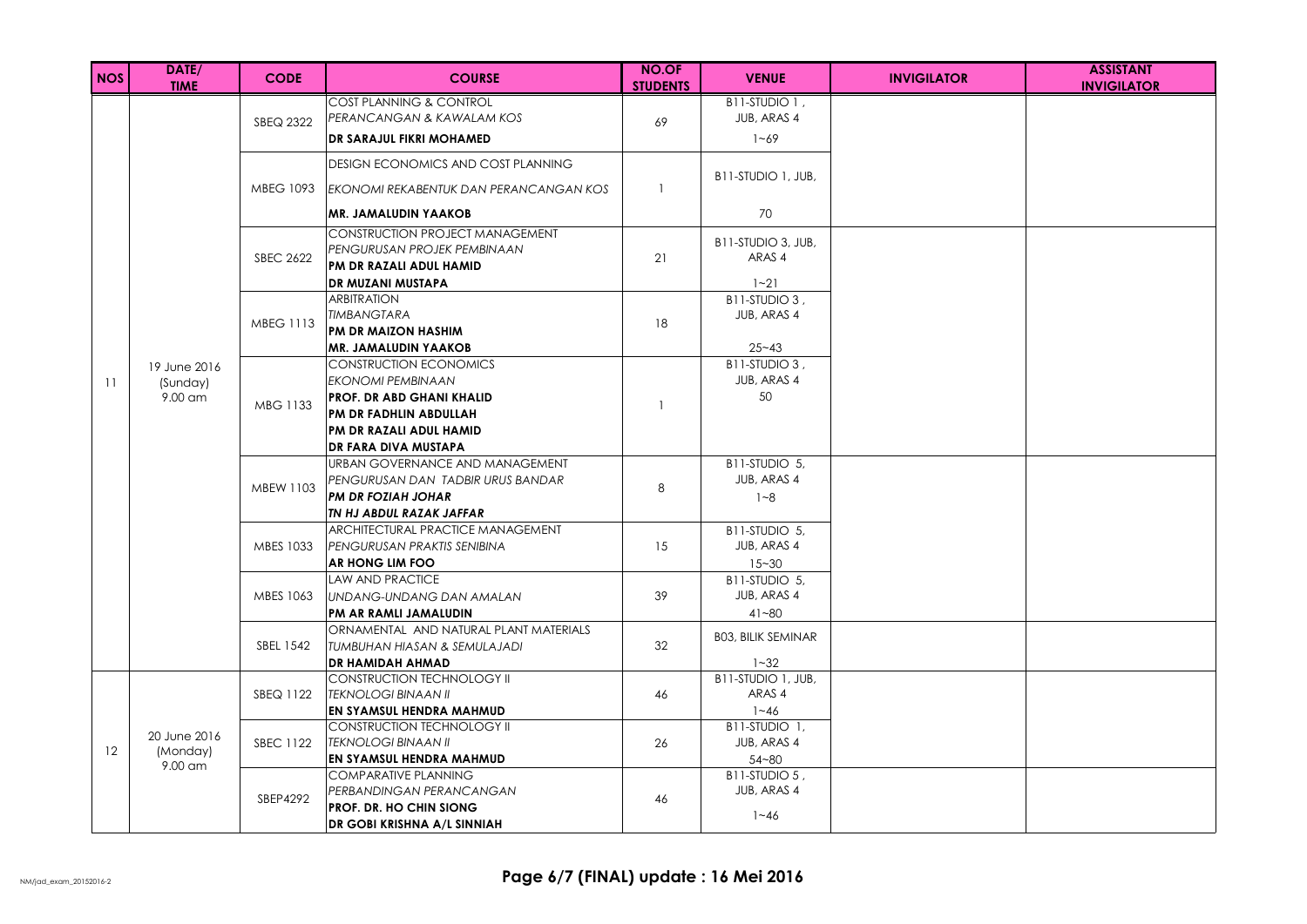| <b>NOS</b> | DATE/<br><b>TIME</b> | <b>CODE</b>      | <b>COURSE</b>                                                          | <b>NO.OF</b><br><b>STUDENTS</b> | <b>VENUE</b>                 | <b>INVIGILATOR</b> | <b>ASSISTANT</b><br><b>INVIGILATOR</b> |
|------------|----------------------|------------------|------------------------------------------------------------------------|---------------------------------|------------------------------|--------------------|----------------------------------------|
|            |                      |                  | COST PLANNING & CONTROL                                                |                                 | B11-STUDIO 1,                |                    |                                        |
|            |                      | SBEQ 2322        | PERANCANGAN & KAWALAM KOS                                              | 69                              | JUB, ARAS 4                  |                    |                                        |
|            |                      |                  | DR SARAJUL FIKRI MOHAMED                                               |                                 | $1 - 69$                     |                    |                                        |
|            |                      |                  | <b>DESIGN ECONOMICS AND COST PLANNING</b>                              |                                 | B11-STUDIO 1, JUB,           |                    |                                        |
|            |                      | <b>MBEG 1093</b> | IEKONOMI REKABENTUK DAN PERANCANGAN KOS                                | $\mathbf{1}$                    |                              |                    |                                        |
|            |                      |                  | <b>IMR. JAMALUDIN YAAKOB</b>                                           |                                 | 70                           |                    |                                        |
|            |                      |                  | <b>CONSTRUCTION PROJECT MANAGEMENT</b>                                 |                                 | B11-STUDIO 3, JUB,           |                    |                                        |
|            |                      | <b>SBEC 2622</b> | PENGURUSAN PROJEK PEMBINAAN                                            | 21                              | ARAS 4                       |                    |                                        |
|            |                      |                  | PM DR RAZALI ADUL HAMID                                                |                                 |                              |                    |                                        |
|            |                      |                  | DR MUZANI MUSTAPA<br><b>ARBITRATION</b>                                |                                 | $1 - 21$                     |                    |                                        |
|            |                      |                  | TIMBANGTARA                                                            |                                 | B11-STUDIO 3,<br>JUB, ARAS 4 |                    |                                        |
|            |                      | <b>MBEG 1113</b> | <b>PM DR MAIZON HASHIM</b>                                             | 18                              |                              |                    |                                        |
|            |                      |                  | <b>MR. JAMALUDIN YAAKOB</b>                                            |                                 | $25 - 43$                    |                    |                                        |
|            | 19 June 2016         |                  | <b>CONSTRUCTION ECONOMICS</b>                                          |                                 | B11-STUDIO 3,                |                    |                                        |
| 11         | (Sunday)             |                  | <b>EKONOMI PEMBINAAN</b>                                               |                                 | JUB, ARAS 4                  |                    |                                        |
|            | 9.00 am              |                  | PROF. DR ABD GHANI KHALID                                              |                                 | 50                           |                    |                                        |
|            |                      | MBG 1133         | <b>PM DR FADHLIN ABDULLAH</b>                                          |                                 |                              |                    |                                        |
|            |                      |                  | PM DR RAZALI ADUL HAMID                                                |                                 |                              |                    |                                        |
|            |                      |                  | DR FARA DIVA MUSTAPA                                                   |                                 |                              |                    |                                        |
|            |                      |                  | URBAN GOVERNANCE AND MANAGEMENT                                        |                                 | B11-STUDIO 5,                |                    |                                        |
|            |                      | MBEW 1103        | PENGURUSAN DAN TADBIR URUS BANDAR                                      | 8                               | JUB, ARAS 4                  |                    |                                        |
|            |                      |                  | <b>IPM DR FOZIAH JOHAR</b>                                             |                                 | $1 - 8$                      |                    |                                        |
|            |                      |                  | TN HJ ABDUL RAZAK JAFFAR                                               |                                 |                              |                    |                                        |
|            |                      |                  | ARCHITECTURAL PRACTICE MANAGEMENT                                      |                                 | B11-STUDIO 5,                |                    |                                        |
|            |                      | MBES 1033        | PENGURUSAN PRAKTIS SENIBINA                                            | 15                              | JUB, ARAS 4                  |                    |                                        |
|            |                      |                  | AR HONG LIM FOO                                                        |                                 | $15 - 30$                    |                    |                                        |
|            |                      |                  | <b>LAW AND PRACTICE</b>                                                |                                 | B11-STUDIO 5.                |                    |                                        |
|            |                      | MBES 1063        | IUNDANG-UNDANG DAN AMALAN                                              | 39                              | JUB, ARAS 4                  |                    |                                        |
|            |                      |                  | PM AR RAMLI JAMALUDIN                                                  |                                 | $41 - 80$                    |                    |                                        |
|            |                      | SBEL 1542        | ORNAMENTAL AND NATURAL PLANT MATERIALS<br>TUMBUHAN HIASAN & SEMULAJADI | 32                              | <b>BO3, BILIK SEMINAR</b>    |                    |                                        |
|            |                      |                  | <b>DR HAMIDAH AHMAD</b>                                                |                                 | $1 - 32$                     |                    |                                        |
|            |                      |                  | CONSTRUCTION TECHNOLOGY II                                             |                                 | B11-STUDIO 1, JUB,           |                    |                                        |
|            |                      | SBEQ 1122        | TEKNOLOGI BINAAN II                                                    | 46                              | ARAS 4                       |                    |                                        |
|            |                      |                  | EN SYAMSUL HENDRA MAHMUD                                               |                                 | $1 - 46$                     |                    |                                        |
|            |                      |                  | <b>CONSTRUCTION TECHNOLOGY II</b>                                      |                                 | B11-STUDIO 1.                |                    |                                        |
|            | 20 June 2016         | <b>SBEC 1122</b> | TEKNOLOGI BINAAN II                                                    | 26                              | JUB, ARAS 4                  |                    |                                        |
| 12         | (Monday)<br>9.00 am  |                  | EN SYAMSUL HENDRA MAHMUD                                               |                                 | $54 - 80$                    |                    |                                        |
|            |                      |                  | <b>COMPARATIVE PLANNING</b>                                            |                                 | B11-STUDIO 5.                |                    |                                        |
|            |                      | SBEP4292         | PERBANDINGAN PERANCANGAN                                               | 46                              | JUB, ARAS 4                  |                    |                                        |
|            |                      |                  | <b>PROF. DR. HO CHIN SIONG</b>                                         |                                 | $1 - 46$                     |                    |                                        |
|            |                      |                  | DR GOBI KRISHNA A/L SINNIAH                                            |                                 |                              |                    |                                        |